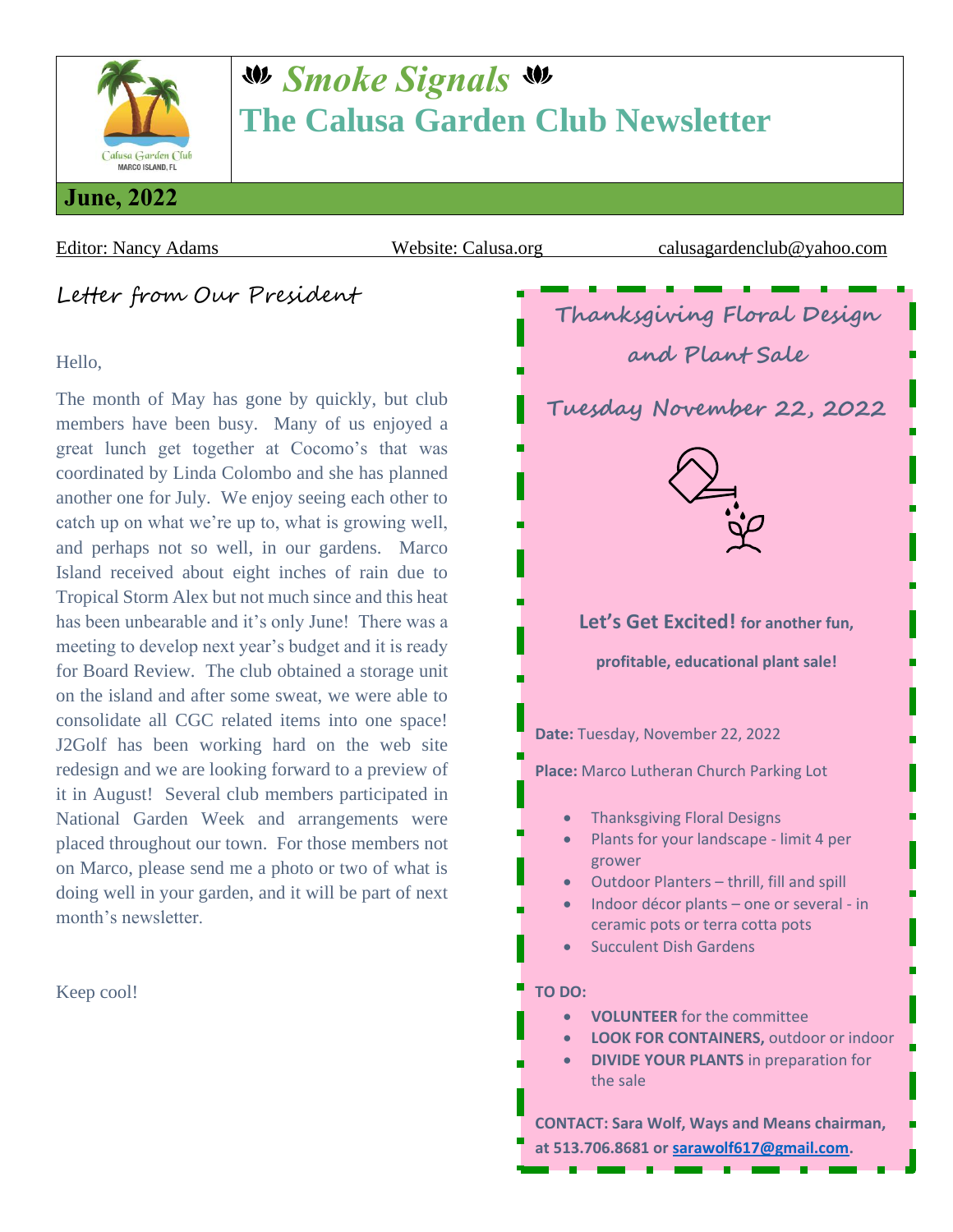

# *Smoke Signals* **The Calusa Garden Club Newsletter**

Letter from Our President

#### Hello,

The month of May has gone by quickly, but club members have been busy. Many of us enjoyed a great lunch get together at Cocomo's that was coordinated by Linda Colombo and she has planned another one for July. We enjoy seeing each other to catch up on what we're up to, what is growing well, and perhaps not so well, in our gardens. Marco Island received about eight inches of rain due to Tropical Storm Alex but not much since and this heat has been unbearable and it's only June! There was a meeting to develop next year's budget and it is ready for Board Review. The club obtained a storage unit on the island and after some sweat, we were able to consolidate all CGC related items into one space! J2Golf has been working hard on the web site redesign and we are looking forward to a preview of it in August! Several club members participated in National Garden Week and arrangements were placed throughout our town. For those members not on Marco, please send me a photo or two of what is doing well in your garden, and it will be part of next month's newsletter.

Keep cool!



**at 513.706.8681 or [sarawolf617@gmail.com.](mailto:sarawolf617@gmail.com)**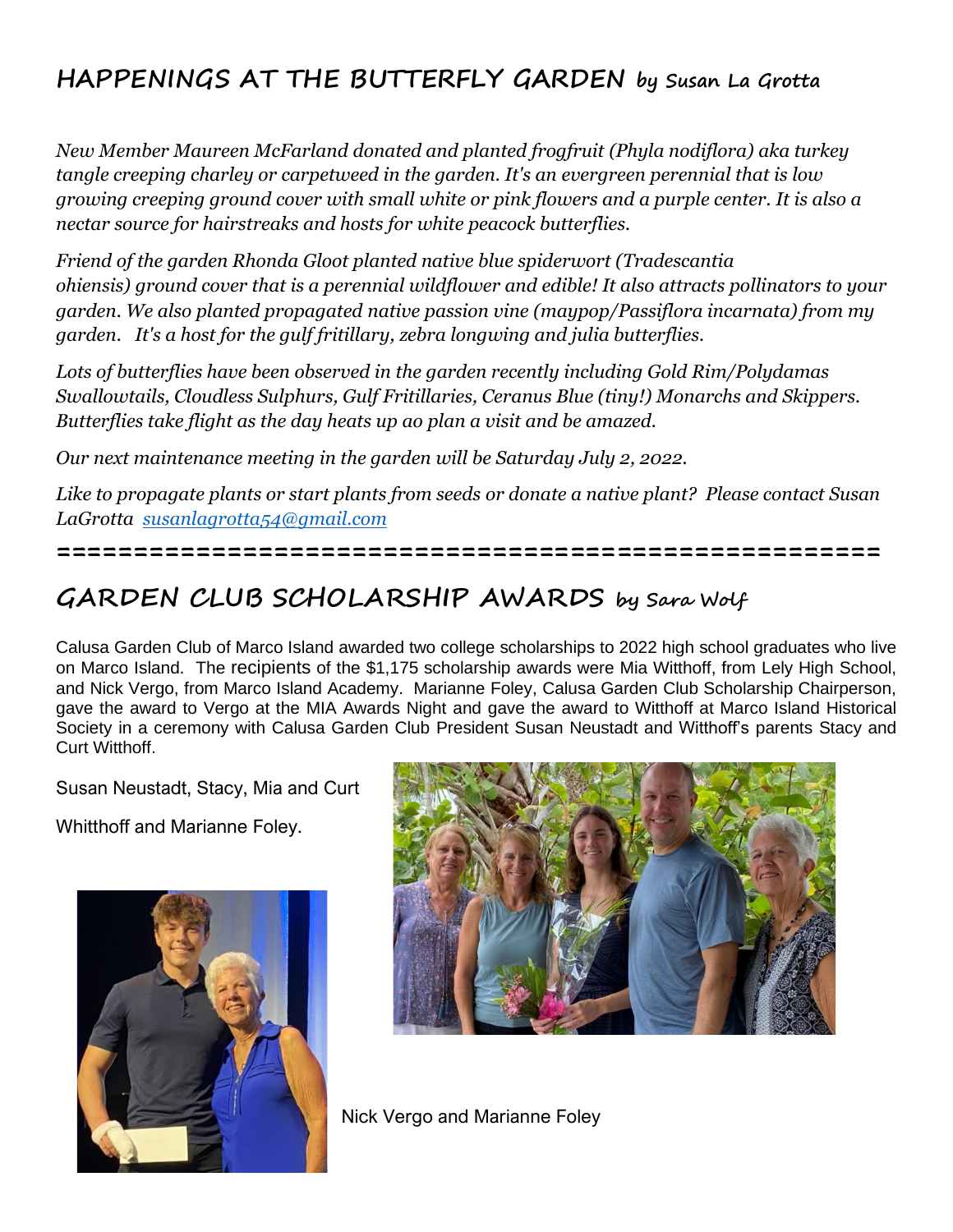### **HAPPENINGS AT THE BUTTERFLY GARDEN by Susan La Grotta**

*New Member Maureen McFarland donated and planted frogfruit (Phyla nodiflora) aka turkey tangle creeping charley or carpetweed in the garden. It's an evergreen perennial that is low growing creeping ground cover with small white or pink flowers and a purple center. It is also a nectar source for hairstreaks and hosts for white peacock butterflies.*

*Friend of the garden Rhonda Gloot planted native blue spiderwort (Tradescantia ohiensis) ground cover that is a perennial wildflower and edible! It also attracts pollinators to your garden. We also planted propagated native passion vine (maypop/Passiflora incarnata) from my garden. It's a host for the gulf fritillary, zebra longwing and julia butterflies.* 

*Lots of butterflies have been observed in the garden recently including Gold Rim/Polydamas Swallowtails, Cloudless Sulphurs, Gulf Fritillaries, Ceranus Blue (tiny!) Monarchs and Skippers. Butterflies take flight as the day heats up ao plan a visit and be amazed.*

*Our next maintenance meeting in the garden will be Saturday July 2, 2022.*

*Like to propagate plants or start plants from seeds or donate a native plant? Please contact Susan LaGrotta [susanlagrotta54@gmail.com](mailto:susanlagrotta54@gmail.com)*

**=====================================================**

#### **GARDEN CLUB SCHOLARSHIP AWARDS by Sara Wolf**

Calusa Garden Club of Marco Island awarded two college scholarships to 2022 high school graduates who live on Marco Island. The recipients of the \$1,175 scholarship awards were Mia Witthoff, from Lely High School, and Nick Vergo, from Marco Island Academy. Marianne Foley, Calusa Garden Club Scholarship Chairperson, gave the award to Vergo at the MIA Awards Night and gave the award to Witthoff at Marco Island Historical Society in a ceremony with Calusa Garden Club President Susan Neustadt and Witthoff's parents Stacy and Curt Witthoff.

Susan Neustadt, Stacy, Mia and Curt

Whitthoff and Marianne Foley.





Nick Vergo and Marianne Foley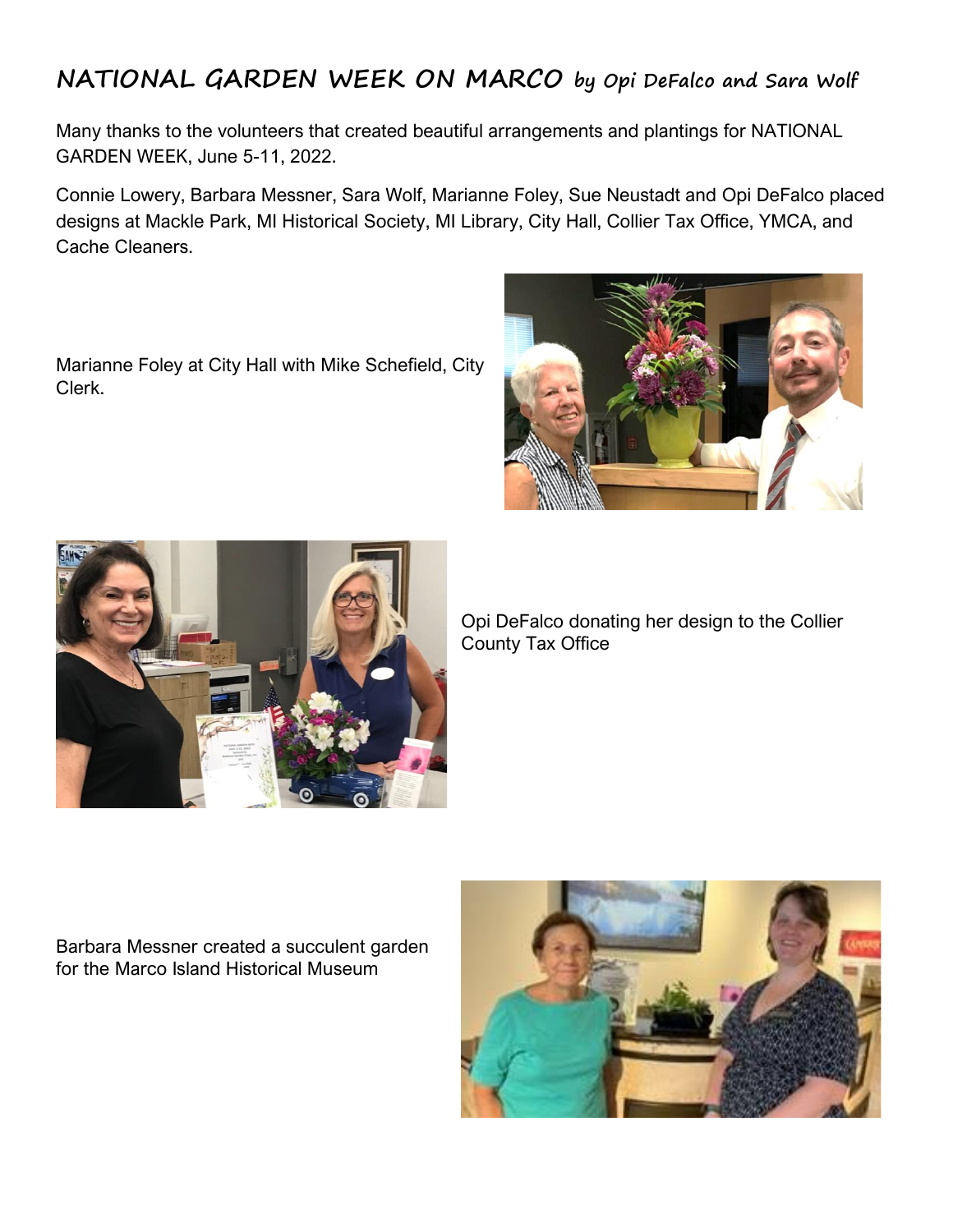#### **NATIONAL GARDEN WEEK ON MARCO by Opi DeFalco and Sara Wolf**

Many thanks to the volunteers that created beautiful arrangements and plantings for NATIONAL GARDEN WEEK, June 5-11, 2022.

Connie Lowery, Barbara Messner, Sara Wolf, Marianne Foley, Sue Neustadt and Opi DeFalco placed designs at Mackle Park, MI Historical Society, MI Library, City Hall, Collier Tax Office, YMCA, and Cache Cleaners.

Marianne Foley at City Hall with Mike Schefield, City Clerk.





Opi DeFalco donating her design to the Collier County Tax Office

Barbara Messner created a succulent garden for the Marco Island Historical Museum

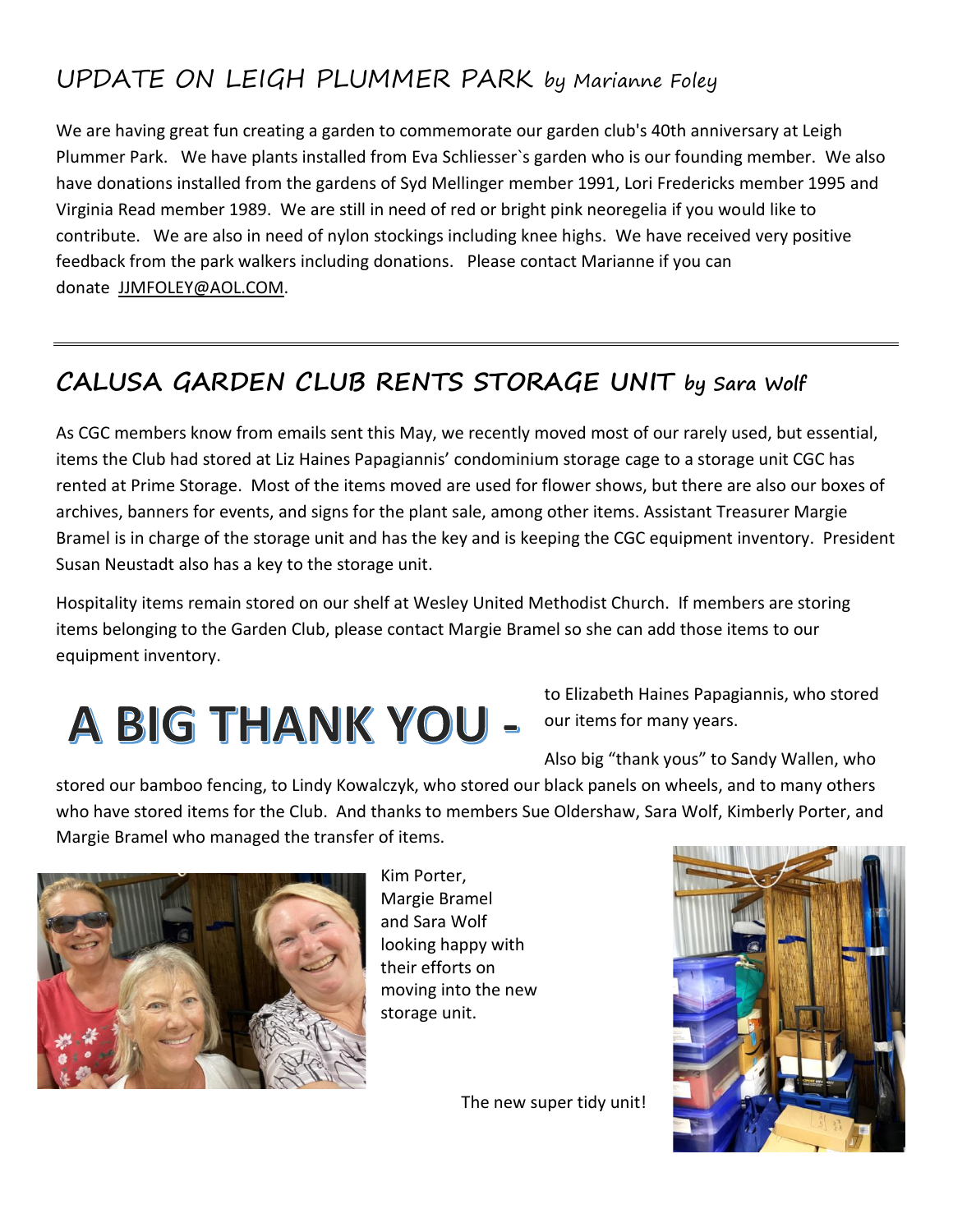## UPDATE ON LEIGH PLUMMER PARK by Marianne Foley

We are having great fun creating a garden to commemorate our garden club's 40th anniversary at Leigh Plummer Park. We have plants installed from Eva Schliesser`s garden who is our founding member. We also have donations installed from the gardens of Syd Mellinger member 1991, Lori Fredericks member 1995 and Virginia Read member 1989. We are still in need of red or bright pink neoregelia if you would like to contribute. We are also in need of nylon stockings including knee highs. We have received very positive feedback from the park walkers including donations. Please contact Marianne if you can donate [JJMFOLEY@AOL.COM.](mailto:JJMFOLEY@AOL.COM)

### **CALUSA GARDEN CLUB RENTS STORAGE UNIT by Sara Wolf**

As CGC members know from emails sent this May, we recently moved most of our rarely used, but essential, items the Club had stored at Liz Haines Papagiannis' condominium storage cage to a storage unit CGC has rented at Prime Storage. Most of the items moved are used for flower shows, but there are also our boxes of archives, banners for events, and signs for the plant sale, among other items. Assistant Treasurer Margie Bramel is in charge of the storage unit and has the key and is keeping the CGC equipment inventory. President Susan Neustadt also has a key to the storage unit.

Hospitality items remain stored on our shelf at Wesley United Methodist Church. If members are storing items belonging to the Garden Club, please contact Margie Bramel so she can add those items to our equipment inventory.

# A BIG THANK YOU -

to Elizabeth Haines Papagiannis, who stored our items for many years.

Also big "thank yous" to Sandy Wallen, who

stored our bamboo fencing, to Lindy Kowalczyk, who stored our black panels on wheels, and to many others who have stored items for the Club. And thanks to members Sue Oldershaw, Sara Wolf, Kimberly Porter, and Margie Bramel who managed the transfer of items.



Kim Porter, Margie Bramel and Sara Wolf looking happy with their efforts on moving into the new storage unit.

The new super tidy unit!

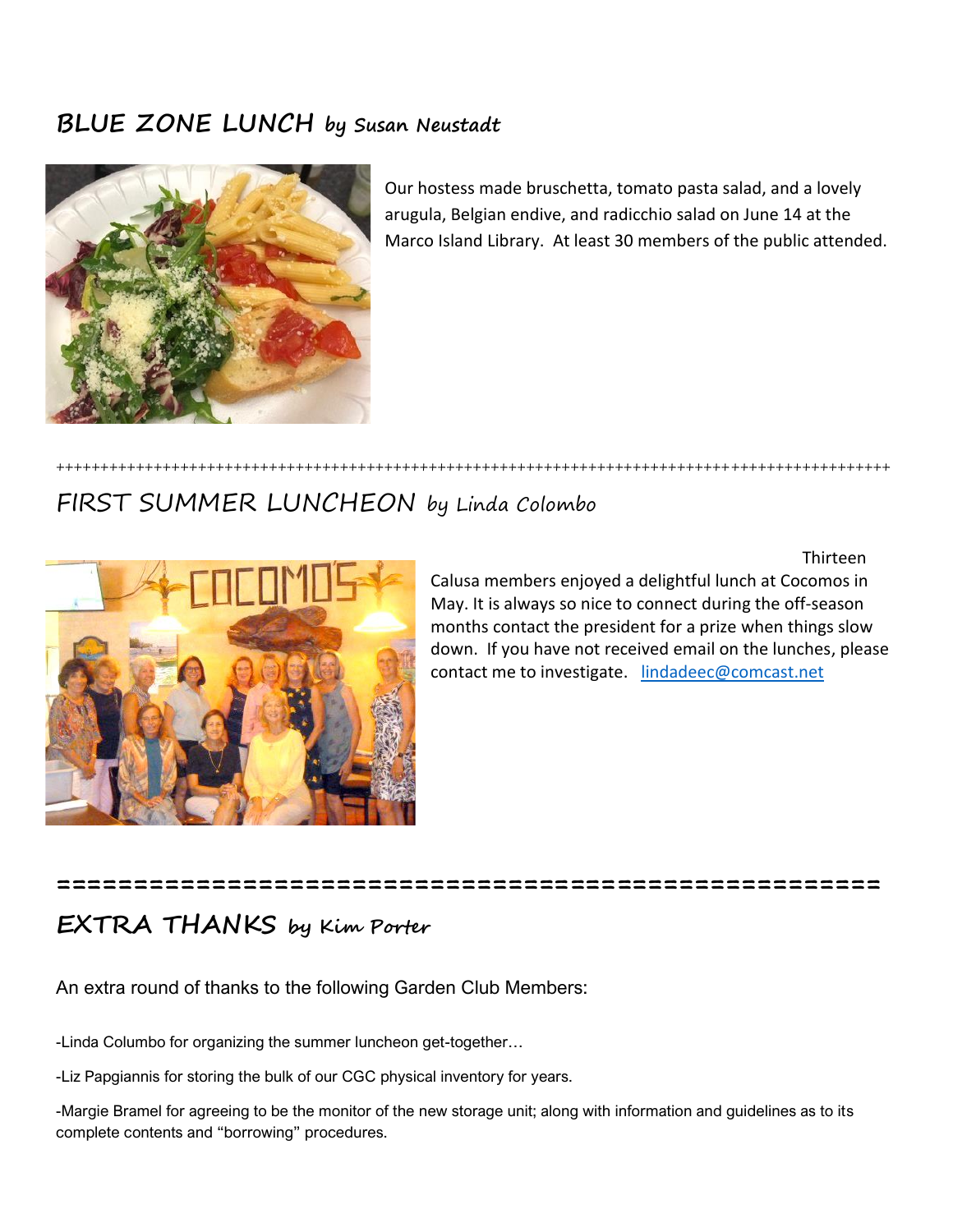#### **BLUE ZONE LUNCH by Susan Neustadt**



Our hostess made bruschetta, tomato pasta salad, and a lovely arugula, Belgian endive, and radicchio salad on June 14 at the Marco Island Library. At least 30 members of the public attended.

#### FIRST SUMMER LUNCHEON by Linda Colombo



Thirteen

Calusa members enjoyed a delightful lunch at Cocomos in May. It is always so nice to connect during the off-season months contact the president for a prize when things slow down. If you have not received email on the lunches, please contact me to investigate. [lindadeec@comcast.net](mailto:lindadeec@comcast.net)

#### **===================================================== EXTRA THANKS by Kim Porter**

++++++++++++++++++++++++++++++++++++++++++++++++++++++++++++++++++++++++++++++++++++++++++++++

#### An extra round of thanks to the following Garden Club Members:

-Linda Columbo for organizing the summer luncheon get-together…

-Liz Papgiannis for storing the bulk of our CGC physical inventory for years.

-Margie Bramel for agreeing to be the monitor of the new storage unit; along with information and guidelines as to its complete contents and "borrowing" procedures.